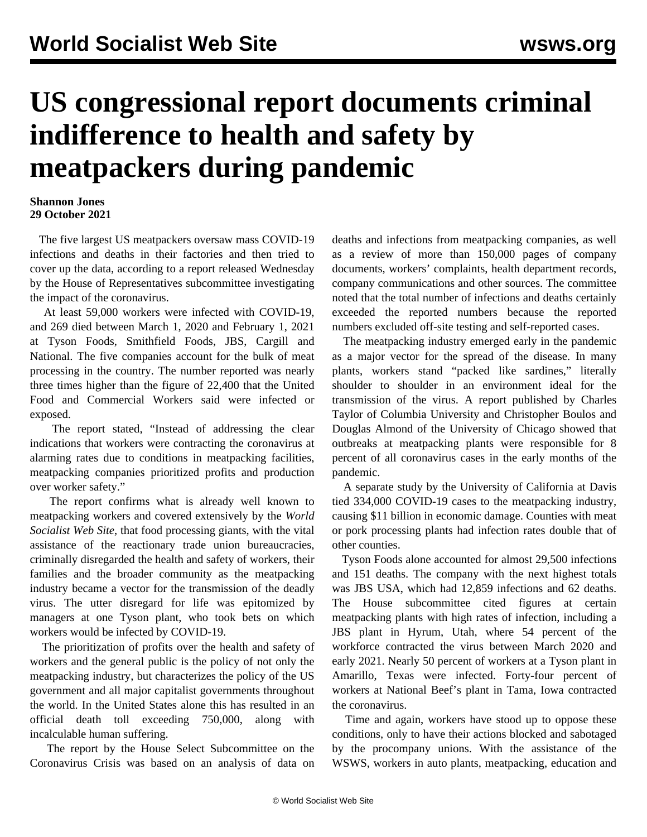## **US congressional report documents criminal indifference to health and safety by meatpackers during pandemic**

## **Shannon Jones 29 October 2021**

 The five largest US meatpackers oversaw mass COVID-19 infections and deaths in their factories and then tried to cover up the data, according to a report released Wednesday by the House of Representatives subcommittee investigating the impact of the coronavirus.

 At least 59,000 workers were infected with COVID-19, and 269 died between March 1, 2020 and February 1, 2021 at Tyson Foods, Smithfield Foods, JBS, Cargill and National. The five companies account for the bulk of meat processing in the country. The number reported was nearly three times higher than the figure of 22,400 that the United Food and Commercial Workers said were infected or exposed.

 The report stated, "Instead of addressing the clear indications that workers were contracting the coronavirus at alarming rates due to conditions in meatpacking facilities, meatpacking companies prioritized profits and production over worker safety."

 The report confirms what is already well known to meatpacking workers and covered extensively by the *World Socialist Web Site*, that food processing giants, with the vital assistance of the reactionary trade union bureaucracies, criminally disregarded the health and safety of workers, their families and the broader community as the meatpacking industry became a vector for the transmission of the deadly virus. The utter disregard for life was epitomized by managers at one Tyson plant, who took bets on which workers would be infected by COVID-19.

 The prioritization of profits over the health and safety of workers and the general public is the policy of not only the meatpacking industry, but characterizes the policy of the US government and all major capitalist governments throughout the world. In the United States alone this has resulted in an official death toll exceeding 750,000, along with incalculable human suffering.

 The report by the House Select Subcommittee on the Coronavirus Crisis was based on an analysis of data on deaths and infections from meatpacking companies, as well as a review of more than 150,000 pages of company documents, workers' complaints, health department records, company communications and other sources. The committee noted that the total number of infections and deaths certainly exceeded the reported numbers because the reported numbers excluded off-site testing and self-reported cases.

 The meatpacking industry emerged early in the pandemic as a major vector for the spread of the disease. In many plants, workers stand "packed like sardines," literally shoulder to shoulder in an environment ideal for the transmission of the virus. A report published by Charles Taylor of Columbia University and Christopher Boulos and Douglas Almond of the University of Chicago showed that outbreaks at meatpacking plants were responsible for 8 percent of all coronavirus cases in the early months of the pandemic.

 A separate study by the University of California at Davis tied 334,000 COVID-19 cases to the meatpacking industry, causing \$11 billion in economic damage. Counties with meat or pork processing plants had infection rates double that of other counties.

 Tyson Foods alone accounted for almost 29,500 infections and 151 deaths. The company with the next highest totals was JBS USA, which had 12,859 infections and 62 deaths. The House subcommittee cited figures at certain meatpacking plants with high rates of infection, including a JBS plant in Hyrum, Utah, where 54 percent of the workforce contracted the virus between March 2020 and early 2021. Nearly 50 percent of workers at a Tyson plant in Amarillo, Texas were infected. Forty-four percent of workers at National Beef's plant in Tama, Iowa contracted the coronavirus.

 Time and again, workers have stood up to oppose these conditions, only to have their actions blocked and sabotaged by the procompany unions. With the assistance of the WSWS, workers in auto plants, meatpacking, education and